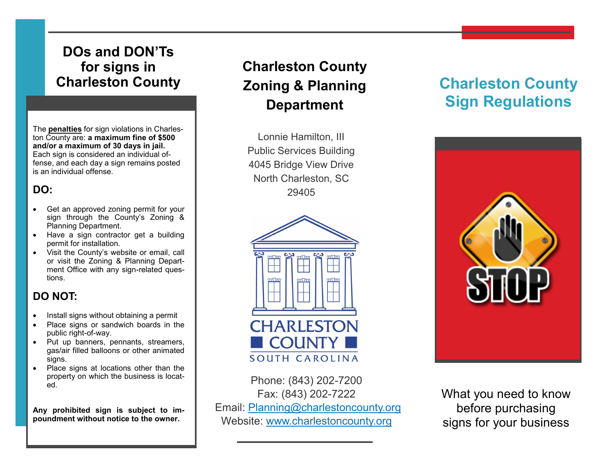## **DOs and DON'Ts for signs in Charleston County**

The **penalties** for sign violations in Charleston County are: **a maximum fine of \$500 and/or a maximum of 30 days in jail.**  Each sign is considered an individual offense, and each day a sign remains posted is an individual offense.

### **DO:**

- Get an approved zoning permit for your sign through the County's Zoning & Planning Department.
- Have a sign contractor get a building permit for installation.
- Visit the County's website or email, call or visit the Zoning & Planning Department Office with any sign-related questions.

### **DO NOT:**

- Install signs without obtaining a permit
- Place signs or sandwich boards in the public right-of-way.
- Put up banners, pennants, streamers, gas/air filled balloons or other animated signs.
- Place signs at locations other than the property on which the business is located.

**Any prohibited sign is subject to impoundment without notice to the owner.**

# **Charleston County Zoning & Planning Department**

Lonnie Hamilton, III Public Services Building 4045 Bridge View Drive North Charleston, SC 29405



Phone: (843) 202-7200 Fax: (843) 202-7222 Email: [Planning@charlestoncounty.org](mailto:planning@charlestoncounty.org) Website: [www.charlestoncounty.org](http://www.charlestoncounty.org)

# **Charleston County Sign Regulations**



What you need to know before purchasing signs for your business